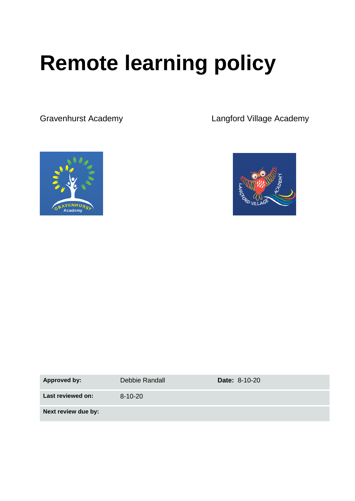# **Remote learning policy**

Gravenhurst Academy Langford Village Academy





| <b>Approved by:</b> | Debbie Randall | <b>Date: 8-10-20</b> |
|---------------------|----------------|----------------------|
| Last reviewed on:   | $8 - 10 - 20$  |                      |
| Next review due by: |                |                      |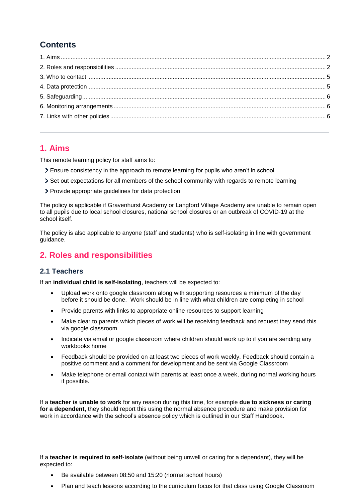# **Contents**

# <span id="page-1-0"></span>**1. Aims**

This remote learning policy for staff aims to:

- Ensure consistency in the approach to remote learning for pupils who aren't in school
- Set out expectations for all members of the school community with regards to remote learning
- Provide appropriate guidelines for data protection

The policy is applicable if Gravenhurst Academy or Langford Village Academy are unable to remain open to all pupils due to local school closures, national school closures or an outbreak of COVID-19 at the school itself.

The policy is also applicable to anyone (staff and students) who is self-isolating in line with government guidance.

# <span id="page-1-1"></span>**2. Roles and responsibilities**

#### **2.1 Teachers**

If an **individual child is self-isolating**, teachers will be expected to:

- Upload work onto google classroom along with supporting resources a minimum of the day before it should be done. Work should be in line with what children are completing in school
- Provide parents with links to appropriate online resources to support learning
- Make clear to parents which pieces of work will be receiving feedback and request they send this via google classroom
- Indicate via email or google classroom where children should work up to if you are sending any workbooks home
- Feedback should be provided on at least two pieces of work weekly. Feedback should contain a positive comment and a comment for development and be sent via Google Classroom
- Make telephone or email contact with parents at least once a week, during normal working hours if possible.

If a **teacher is unable to work** for any reason during this time, for example **due to sickness or caring for a dependent,** they should report this using the normal absence procedure and make provision for work in accordance with the school's absence policy which is outlined in our Staff Handbook.

If a **teacher is required to self-isolate** (without being unwell or caring for a dependant), they will be expected to:

- Be available between 08:50 and 15:20 (normal school hours)
- Plan and teach lessons according to the curriculum focus for that class using Google Classroom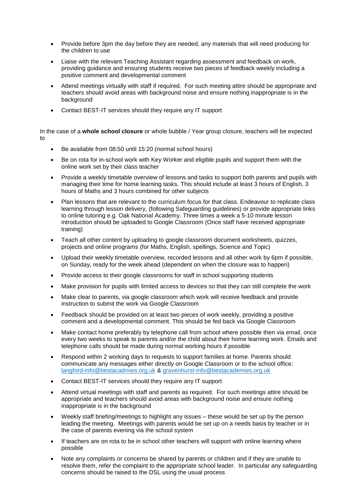- Provide before 3pm the day before they are needed, any materials that will need producing for the children to use
- Liaise with the relevant Teaching Assistant regarding assessment and feedback on work, providing guidance and ensuring students receive two pieces of feedback weekly including a positive comment and developmental comment
- Attend meetings virtually with staff if required. For such meeting attire should be appropriate and teachers should avoid areas with background noise and ensure nothing inappropriate is in the background
- Contact BEST-IT services should they require any IT support

In the case of a **whole school closure** or whole bubble / Year group closure, teachers will be expected to

- Be available from 08:50 until 15:20 (normal school hours)
- Be on rota for in-school work with Key Worker and eligible pupils and support them with the online work set by their class teacher
- Provide a weekly timetable overview of lessons and tasks to support both parents and pupils with managing their time for home learning tasks. This should include at least 3 hours of English, 3 hours of Maths and 3 hours combined for other subjects
- Plan lessons that are relevant to the curriculum focus for that class. Endeavour to replicate class learning through lesson delivery, (following Safeguarding guidelines) or provide appropriate links to online tutoring e.g. Oak National Academy. Three times a week a 5-10 minute lesson introduction should be uploaded to Google Classroom (Once staff have received appropriate training)
- Teach all other content by uploading to google classroom document worksheets, quizzes, projects and online programs (for Maths, English, spellings, Science and Topic)
- Upload their weekly timetable overview, recorded lessons and all other work by 6pm if possible, on Sunday, ready for the week ahead (dependent on when the closure was to happen)
- Provide access to their google classrooms for staff in school supporting students
- Make provision for pupils with limited access to devices so that they can still complete the work
- Make clear to parents, via google classroom which work will receive feedback and provide instruction to submit the work via Google Classroom
- Feedback should be provided on at least two pieces of work weekly, providing a positive comment and a developmental comment. This should be fed back via Google Classroom
- Make contact home preferably by telephone call from school where possible then via email, once every two weeks to speak to parents and/or the child about their home learning work. Emails and telephone calls should be made during normal working hours if possible
- Respond within 2 working days to requests to support families at home. Parents should communicate any messages either directly on Google Classroom or to the school office: [langford-info@bestacadmies.org.uk](mailto:langford-info@bestacadmies.org.uk) & [gravenhurst-info@bestacademies.org.uk](mailto:gravenhurst-info@bestacademies.org.uk)
- Contact BEST-IT services should they require any IT support
- Attend virtual meetings with staff and parents as required. For such meetings attire should be appropriate and teachers should avoid areas with background noise and ensure nothing inappropriate is in the background
- Weekly staff briefing/meetings to highlight any issues these would be set up by the person leading the meeting. Meetings with parents would be set up on a needs basis by teacher or in the case of parents evening via the school system
- If teachers are on rota to be in school other teachers will support with online learning where possible
- Note any complaints or concerns be shared by parents or children and if they are unable to resolve them, refer the complaint to the appropriate school leader. In particular any safeguarding concerns should be raised to the DSL using the usual process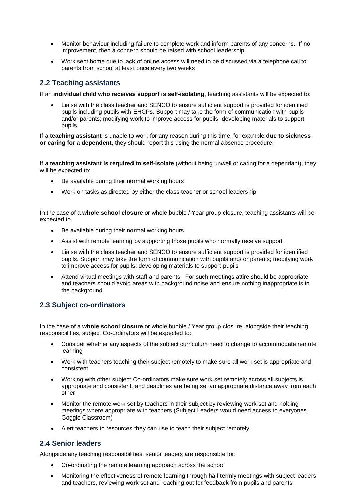- Monitor behaviour including failure to complete work and inform parents of any concerns. If no improvement, then a concern should be raised with school leadership
- Work sent home due to lack of online access will need to be discussed via a telephone call to parents from school at least once every two weeks

#### **2.2 Teaching assistants**

If an **individual child who receives support is self-isolating**, teaching assistants will be expected to:

• Liaise with the class teacher and SENCO to ensure sufficient support is provided for identified pupils including pupils with EHCPs. Support may take the form of communication with pupils and/or parents; modifying work to improve access for pupils; developing materials to support pupils

If a **teaching assistant** is unable to work for any reason during this time, for example **due to sickness or caring for a dependent**, they should report this using the normal absence procedure.

If a **teaching assistant is required to self-isolate** (without being unwell or caring for a dependant), they will be expected to:

- Be available during their normal working hours
- Work on tasks as directed by either the class teacher or school leadership

In the case of a **whole school closure** or whole bubble / Year group closure, teaching assistants will be expected to

- Be available during their normal working hours
- Assist with remote learning by supporting those pupils who normally receive support
- Liaise with the class teacher and SENCO to ensure sufficient support is provided for identified pupils. Support may take the form of communication with pupils and/ or parents; modifying work to improve access for pupils; developing materials to support pupils
- Attend virtual meetings with staff and parents. For such meetings attire should be appropriate and teachers should avoid areas with background noise and ensure nothing inappropriate is in the background

#### **2.3 Subject co-ordinators**

In the case of a **whole school closure** or whole bubble / Year group closure, alongside their teaching responsibilities, subject Co-ordinators will be expected to:

- Consider whether any aspects of the subject curriculum need to change to accommodate remote learning
- Work with teachers teaching their subject remotely to make sure all work set is appropriate and consistent
- Working with other subject Co-ordinators make sure work set remotely across all subjects is appropriate and consistent, and deadlines are being set an appropriate distance away from each other
- Monitor the remote work set by teachers in their subject by reviewing work set and holding meetings where appropriate with teachers (Subject Leaders would need access to everyones Goggle Classroom)
- Alert teachers to resources they can use to teach their subject remotely

#### **2.4 Senior leaders**

Alongside any teaching responsibilities, senior leaders are responsible for:

- Co-ordinating the remote learning approach across the school
- Monitoring the effectiveness of remote learning through half termly meetings with subject leaders and teachers, reviewing work set and reaching out for feedback from pupils and parents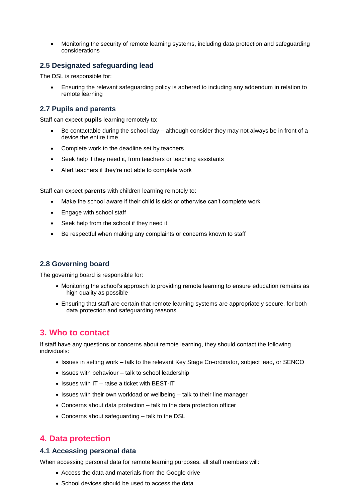• Monitoring the security of remote learning systems, including data protection and safeguarding considerations

#### **2.5 Designated safeguarding lead**

The DSL is responsible for:

• Ensuring the relevant safeguarding policy is adhered to including any addendum in relation to remote learning

#### **2.7 Pupils and parents**

Staff can expect **pupils** learning remotely to:

- Be contactable during the school day  $-$  although consider they may not always be in front of a device the entire time
- Complete work to the deadline set by teachers
- Seek help if they need it, from teachers or teaching assistants
- Alert teachers if they're not able to complete work

Staff can expect **parents** with children learning remotely to:

- Make the school aware if their child is sick or otherwise can't complete work
- Engage with school staff
- Seek help from the school if they need it
- Be respectful when making any complaints or concerns known to staff

#### **2.8 Governing board**

The governing board is responsible for:

- Monitoring the school's approach to providing remote learning to ensure education remains as high quality as possible
- Ensuring that staff are certain that remote learning systems are appropriately secure, for both data protection and safeguarding reasons

# <span id="page-4-0"></span>**3. Who to contact**

If staff have any questions or concerns about remote learning, they should contact the following individuals:

- Issues in setting work talk to the relevant Key Stage Co-ordinator, subject lead, or SENCO
- Issues with behaviour talk to school leadership
- Issues with IT raise a ticket with BEST-IT
- Issues with their own workload or wellbeing talk to their line manager
- Concerns about data protection talk to the data protection officer
- Concerns about safeguarding talk to the DSL

# <span id="page-4-1"></span>**4. Data protection**

#### **4.1 Accessing personal data**

When accessing personal data for remote learning purposes, all staff members will:

- Access the data and materials from the Google drive
- School devices should be used to access the data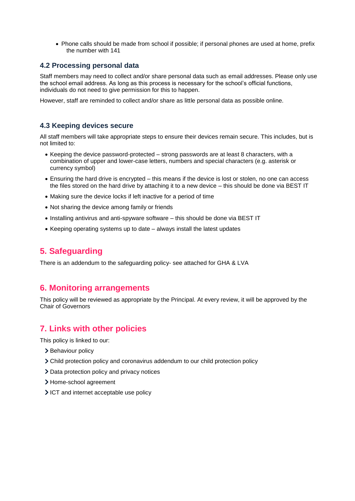• Phone calls should be made from school if possible; if personal phones are used at home, prefix the number with 141

#### **4.2 Processing personal data**

Staff members may need to collect and/or share personal data such as email addresses. Please only use the school email address. As long as this process is necessary for the school's official functions, individuals do not need to give permission for this to happen.

However, staff are reminded to collect and/or share as little personal data as possible online.

#### **4.3 Keeping devices secure**

All staff members will take appropriate steps to ensure their devices remain secure. This includes, but is not limited to:

- Keeping the device password-protected strong passwords are at least 8 characters, with a combination of upper and lower-case letters, numbers and special characters (e.g. asterisk or currency symbol)
- Ensuring the hard drive is encrypted this means if the device is lost or stolen, no one can access the files stored on the hard drive by attaching it to a new device – this should be done via BEST IT
- Making sure the device locks if left inactive for a period of time
- Not sharing the device among family or friends
- Installing antivirus and anti-spyware software this should be done via BEST IT
- Keeping operating systems up to date always install the latest updates

# <span id="page-5-0"></span>**5. Safeguarding**

<span id="page-5-1"></span>There is an addendum to the safeguarding policy- see attached for GHA & LVA

# **6. Monitoring arrangements**

This policy will be reviewed as appropriate by the Principal. At every review, it will be approved by the Chair of Governors

# <span id="page-5-2"></span>**7. Links with other policies**

This policy is linked to our:

- > Behaviour policy
- Child protection policy and coronavirus addendum to our child protection policy
- > Data protection policy and privacy notices
- > Home-school agreement
- ICT and internet acceptable use policy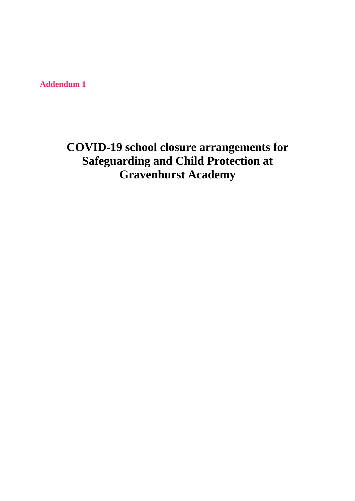**Addendum 1**

# **COVID-19 school closure arrangements for Safeguarding and Child Protection at Gravenhurst Academy**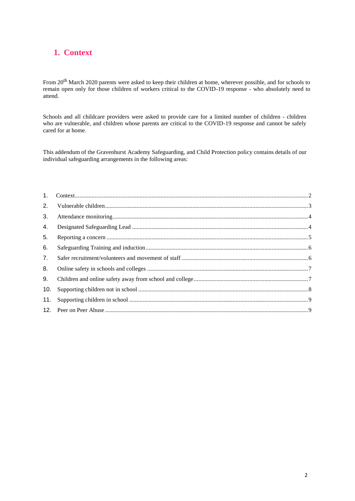# <span id="page-7-0"></span>**1. Context**

From 20th March 2020 parents were asked to keep their children at home, wherever possible, and for schools to remain open only for those children of workers critical to the COVID-19 response - who absolutely need to attend.

Schools and all childcare providers were asked to provide care for a limited number of children - children who are vulnerable, and children whose parents are critical to the COVID-19 response and cannot be safely cared for at home.

This addendum of the Gravenhurst Academy Safeguarding, and Child Protection policy contains details of our individual safeguarding arrangements in the following areas:

| 2.  |  |
|-----|--|
| 3.  |  |
| 4.  |  |
| 5.  |  |
| 6.  |  |
| 7.  |  |
| 8.  |  |
| 9.  |  |
| 10. |  |
| 11. |  |
|     |  |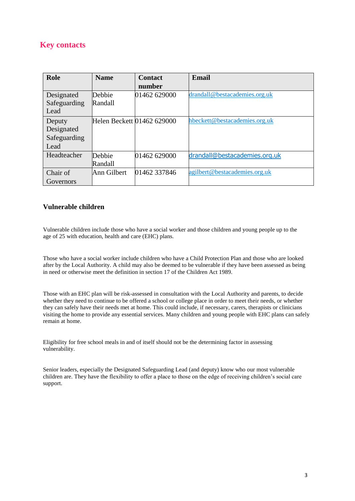# **Key contacts**

| Role         | <b>Name</b>                | <b>Contact</b> | <b>Email</b>                  |
|--------------|----------------------------|----------------|-------------------------------|
|              |                            | number         |                               |
| Designated   | Debbie                     | 01462 629000   | drandall@bestacademies.org.uk |
| Safeguarding | Randall                    |                |                               |
| Lead         |                            |                |                               |
| Deputy       | Helen Beckett 01462 629000 |                | hbeckett@bestacademies.org.uk |
| Designated   |                            |                |                               |
| Safeguarding |                            |                |                               |
| Lead         |                            |                |                               |
| Headteacher  | Debbie                     | 01462 629000   | drandall@bestacademies.org.uk |
|              | Randall                    |                |                               |
| Chair of     | Ann Gilbert                | 01462 337846   | agilbert@bestacademies.org.uk |
| Governors    |                            |                |                               |

#### **Vulnerable children**

Vulnerable children include those who have a social worker and those children and young people up to the age of 25 with education, health and care (EHC) plans.

Those who have a social worker include children who have a Child Protection Plan and those who are looked after by the Local Authority. A child may also be deemed to be vulnerable if they have been assessed as being in need or otherwise meet the definition in section 17 of the Children Act 1989.

Those with an EHC plan will be risk-assessed in consultation with the Local Authority and parents, to decide whether they need to continue to be offered a school or college place in order to meet their needs, or whether they can safely have their needs met at home. This could include, if necessary, carers, therapists or clinicians visiting the home to provide any essential services. Many children and young people with EHC plans can safely remain at home.

Eligibility for free school meals in and of itself should not be the determining factor in assessing vulnerability.

Senior leaders, especially the Designated Safeguarding Lead (and deputy) know who our most vulnerable children are. They have the flexibility to offer a place to those on the edge of receiving children's social care support.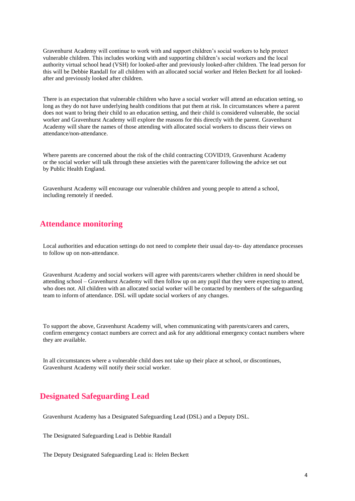Gravenhurst Academy will continue to work with and support children's social workers to help protect vulnerable children. This includes working with and supporting children's social workers and the local authority virtual school head (VSH) for looked-after and previously looked-after children. The lead person for this will be Debbie Randall for all children with an allocated social worker and Helen Beckett for all lookedafter and previously looked after children.

There is an expectation that vulnerable children who have a social worker will attend an education setting, so long as they do not have underlying health conditions that put them at risk. In circumstances where a parent does not want to bring their child to an education setting, and their child is considered vulnerable, the social worker and Gravenhurst Academy will explore the reasons for this directly with the parent. Gravenhurst Academy will share the names of those attending with allocated social workers to discuss their views on attendance/non-attendance.

Where parents are concerned about the risk of the child contracting COVID19, Gravenhurst Academy or the social worker will talk through these anxieties with the parent/carer following the advice set out by Public Health England.

Gravenhurst Academy will encourage our vulnerable children and young people to attend a school, including remotely if needed.

#### **Attendance monitoring**

Local authorities and education settings do not need to complete their usual day-to- day attendance processes to follow up on non-attendance.

Gravenhurst Academy and social workers will agree with parents/carers whether children in need should be attending school – Gravenhurst Academy will then follow up on any pupil that they were expecting to attend, who does not. All children with an allocated social worker will be contacted by members of the safeguarding team to inform of attendance. DSL will update social workers of any changes.

To support the above, Gravenhurst Academy will, when communicating with parents/carers and carers, confirm emergency contact numbers are correct and ask for any additional emergency contact numbers where they are available.

In all circumstances where a vulnerable child does not take up their place at school, or discontinues, Gravenhurst Academy will notify their social worker.

# **Designated Safeguarding Lead**

Gravenhurst Academy has a Designated Safeguarding Lead (DSL) and a Deputy DSL.

The Designated Safeguarding Lead is Debbie Randall

The Deputy Designated Safeguarding Lead is: Helen Beckett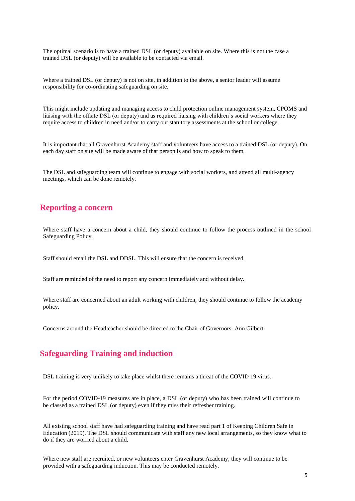The optimal scenario is to have a trained DSL (or deputy) available on site. Where this is not the case a trained DSL (or deputy) will be available to be contacted via email.

Where a trained DSL (or deputy) is not on site, in addition to the above, a senior leader will assume responsibility for co-ordinating safeguarding on site.

This might include updating and managing access to child protection online management system, CPOMS and liaising with the offsite DSL (or deputy) and as required liaising with children's social workers where they require access to children in need and/or to carry out statutory assessments at the school or college.

It is important that all Gravenhurst Academy staff and volunteers have access to a trained DSL (or deputy). On each day staff on site will be made aware of that person is and how to speak to them.

The DSL and safeguarding team will continue to engage with social workers, and attend all multi-agency meetings, which can be done remotely.

#### **Reporting a concern**

Where staff have a concern about a child, they should continue to follow the process outlined in the school Safeguarding Policy.

Staff should email the DSL and DDSL. This will ensure that the concern is received.

Staff are reminded of the need to report any concern immediately and without delay.

Where staff are concerned about an adult working with children, they should continue to follow the academy policy.

Concerns around the Headteacher should be directed to the Chair of Governors: Ann Gilbert

# **Safeguarding Training and induction**

DSL training is very unlikely to take place whilst there remains a threat of the COVID 19 virus.

For the period COVID-19 measures are in place, a DSL (or deputy) who has been trained will continue to be classed as a trained DSL (or deputy) even if they miss their refresher training.

All existing school staff have had safeguarding training and have read part 1 of Keeping Children Safe in Education (2019). The DSL should communicate with staff any new local arrangements, so they know what to do if they are worried about a child.

Where new staff are recruited, or new volunteers enter Gravenhurst Academy, they will continue to be provided with a safeguarding induction. This may be conducted remotely.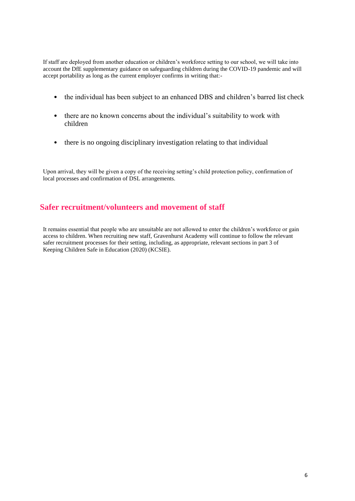If staff are deployed from another education or children's workforce setting to our school, we will take into account the DfE supplementary guidance on safeguarding children during the COVID-19 pandemic and will accept portability as long as the current employer confirms in writing that:-

- the individual has been subject to an enhanced DBS and children's barred list check
- there are no known concerns about the individual's suitability to work with children
- there is no ongoing disciplinary investigation relating to that individual

Upon arrival, they will be given a copy of the receiving setting's child protection policy, confirmation of local processes and confirmation of DSL arrangements.

#### **Safer recruitment/volunteers and movement of staff**

It remains essential that people who are unsuitable are not allowed to enter the children's workforce or gain access to children. When recruiting new staff, Gravenhurst Academy will continue to follow the relevant safer recruitment processes for their setting, including, as appropriate, relevant sections in part 3 of Keeping Children Safe in Education (2020) (KCSIE).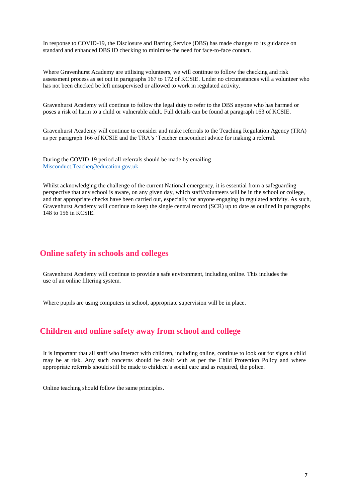In response to COVID-19, the Disclosure and Barring Service (DBS) has made changes to its guidance on standard and enhanced DBS ID checking to minimise the need for face-to-face contact.

Where Gravenhurst Academy are utilising volunteers, we will continue to follow the checking and risk assessment process as set out in paragraphs 167 to 172 of KCSIE. Under no circumstances will a volunteer who has not been checked be left unsupervised or allowed to work in regulated activity.

Gravenhurst Academy will continue to follow the legal duty to refer to the DBS anyone who has harmed or poses a risk of harm to a child or vulnerable adult. Full details can be found at paragraph 163 of KCSIE.

Gravenhurst Academy will continue to consider and make referrals to the Teaching Regulation Agency (TRA) as per paragraph 166 of KCSIE and the TRA's 'Teacher misconduct advice for making a referral.

During the COVID-19 period all referrals should be made by emailing [Misconduct.Teacher@education.gov.uk](mailto:Misconduct.Teacher@education.gov.uk)

Whilst acknowledging the challenge of the current National emergency, it is essential from a safeguarding perspective that any school is aware, on any given day, which staff/volunteers will be in the school or college, and that appropriate checks have been carried out, especially for anyone engaging in regulated activity. As such, Gravenhurst Academy will continue to keep the single central record (SCR) up to date as outlined in paragraphs 148 to 156 in KCSIE.

#### **Online safety in schools and colleges**

Gravenhurst Academy will continue to provide a safe environment, including online. This includes the use of an online filtering system.

Where pupils are using computers in school, appropriate supervision will be in place.

#### **Children and online safety away from school and college**

It is important that all staff who interact with children, including online, continue to look out for signs a child may be at risk. Any such concerns should be dealt with as per the Child Protection Policy and where appropriate referrals should still be made to children's social care and as required, the police.

Online teaching should follow the same principles.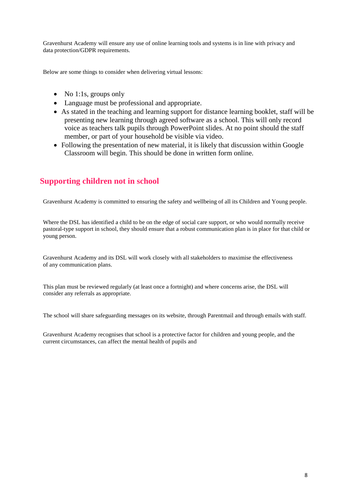Gravenhurst Academy will ensure any use of online learning tools and systems is in line with privacy and data protection/GDPR requirements.

Below are some things to consider when delivering virtual lessons:

- No 1:1s, groups only
- Language must be professional and appropriate.
- As stated in the teaching and learning support for distance learning booklet, staff will be presenting new learning through agreed software as a school. This will only record voice as teachers talk pupils through PowerPoint slides. At no point should the staff member, or part of your household be visible via video.
- Following the presentation of new material, it is likely that discussion within Google Classroom will begin. This should be done in written form online.

# **Supporting children not in school**

Gravenhurst Academy is committed to ensuring the safety and wellbeing of all its Children and Young people.

Where the DSL has identified a child to be on the edge of social care support, or who would normally receive pastoral-type support in school, they should ensure that a robust communication plan is in place for that child or young person.

Gravenhurst Academy and its DSL will work closely with all stakeholders to maximise the effectiveness of any communication plans.

This plan must be reviewed regularly (at least once a fortnight) and where concerns arise, the DSL will consider any referrals as appropriate.

The school will share safeguarding messages on its website, through Parentmail and through emails with staff.

Gravenhurst Academy recognises that school is a protective factor for children and young people, and the current circumstances, can affect the mental health of pupils and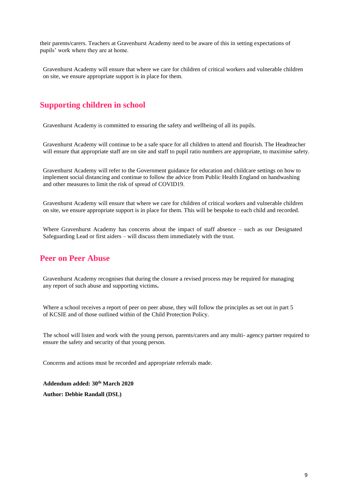their parents/carers. Teachers at Gravenhurst Academy need to be aware of this in setting expectations of pupils' work where they are at home.

Gravenhurst Academy will ensure that where we care for children of critical workers and vulnerable children on site, we ensure appropriate support is in place for them.

# **Supporting children in school**

Gravenhurst Academy is committed to ensuring the safety and wellbeing of all its pupils.

Gravenhurst Academy will continue to be a safe space for all children to attend and flourish. The Headteacher will ensure that appropriate staff are on site and staff to pupil ratio numbers are appropriate, to maximise safety.

Gravenhurst Academy will refer to the Government guidance for education and childcare settings on how to implement social distancing and continue to follow the advice from Public Health England on handwashing and other measures to limit the risk of spread of COVID19.

Gravenhurst Academy will ensure that where we care for children of critical workers and vulnerable children on site, we ensure appropriate support is in place for them. This will be bespoke to each child and recorded.

Where Gravenhurst Academy has concerns about the impact of staff absence – such as our Designated Safeguarding Lead or first aiders – will discuss them immediately with the trust.

# **Peer on Peer Abuse**

Gravenhurst Academy recognises that during the closure a revised process may be required for managing any report of such abuse and supporting victims**.**

Where a school receives a report of peer on peer abuse, they will follow the principles as set out in part 5 of KCSIE and of those outlined within of the Child Protection Policy.

The school will listen and work with the young person, parents/carers and any multi- agency partner required to ensure the safety and security of that young person.

Concerns and actions must be recorded and appropriate referrals made.

**Addendum added: 30th March 2020 Author: Debbie Randall (DSL)**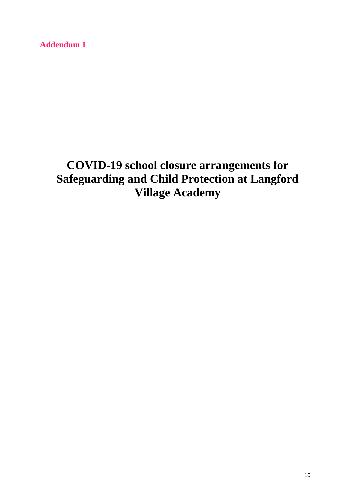**Addendum 1**

# **COVID-19 school closure arrangements for Safeguarding and Child Protection at Langford Village Academy**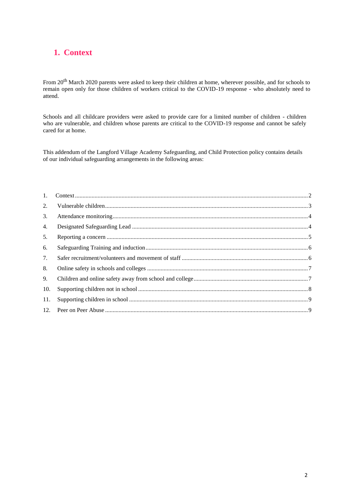# **1. Context**

From 20th March 2020 parents were asked to keep their children at home, wherever possible, and for schools to remain open only for those children of workers critical to the COVID-19 response - who absolutely need to attend.

Schools and all childcare providers were asked to provide care for a limited number of children - children who are vulnerable, and children whose parents are critical to the COVID-19 response and cannot be safely cared for at home.

This addendum of the Langford Village Academy Safeguarding, and Child Protection policy contains details of our individual safeguarding arrangements in the following areas:

| 2.  |  |
|-----|--|
| 3.  |  |
| 4.  |  |
| 5.  |  |
| 6.  |  |
| 7.  |  |
| 8.  |  |
| 9.  |  |
| 10. |  |
| 11. |  |
|     |  |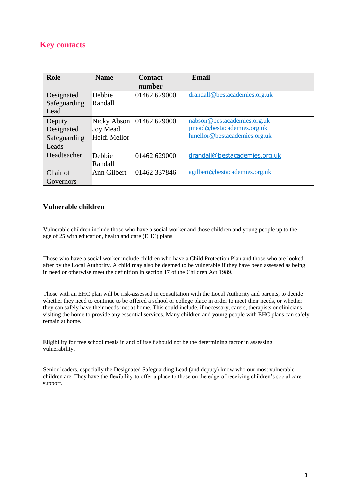# **Key contacts**

| Role         | <b>Name</b>  | <b>Contact</b> | Email                         |
|--------------|--------------|----------------|-------------------------------|
|              |              | number         |                               |
| Designated   | Debbie       | 01462 629000   | drandall@bestacademies.org.uk |
| Safeguarding | Randall      |                |                               |
| Lead         |              |                |                               |
| Deputy       | Nicky Abson  | 01462 629000   | nabson@bestacademies.org.uk   |
| Designated   | Joy Mead     |                | jmead@bestacademies.org.uk    |
| Safeguarding | Heidi Mellor |                | hmellor@bestacademies.org.uk  |
| Leads        |              |                |                               |
| Headteacher  | Debbie       | 01462 629000   | drandall@bestacademies.org.uk |
|              | Randall      |                |                               |
| Chair of     | Ann Gilbert  | 01462 337846   | agilbert@bestacademies.org.uk |
| Governors    |              |                |                               |

#### **Vulnerable children**

Vulnerable children include those who have a social worker and those children and young people up to the age of 25 with education, health and care (EHC) plans.

Those who have a social worker include children who have a Child Protection Plan and those who are looked after by the Local Authority. A child may also be deemed to be vulnerable if they have been assessed as being in need or otherwise meet the definition in section 17 of the Children Act 1989.

Those with an EHC plan will be risk-assessed in consultation with the Local Authority and parents, to decide whether they need to continue to be offered a school or college place in order to meet their needs, or whether they can safely have their needs met at home. This could include, if necessary, carers, therapists or clinicians visiting the home to provide any essential services. Many children and young people with EHC plans can safely remain at home.

Eligibility for free school meals in and of itself should not be the determining factor in assessing vulnerability.

Senior leaders, especially the Designated Safeguarding Lead (and deputy) know who our most vulnerable children are. They have the flexibility to offer a place to those on the edge of receiving children's social care support.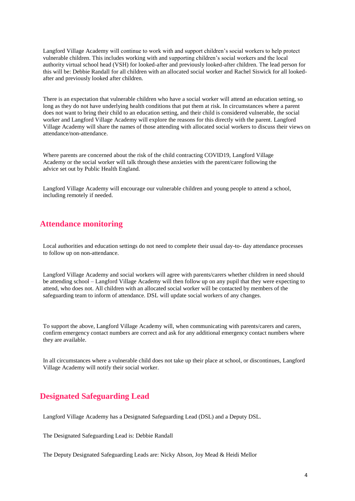Langford Village Academy will continue to work with and support children's social workers to help protect vulnerable children. This includes working with and supporting children's social workers and the local authority virtual school head (VSH) for looked-after and previously looked-after children. The lead person for this will be: Debbie Randall for all children with an allocated social worker and Rachel Siswick for all lookedafter and previously looked after children.

There is an expectation that vulnerable children who have a social worker will attend an education setting, so long as they do not have underlying health conditions that put them at risk. In circumstances where a parent does not want to bring their child to an education setting, and their child is considered vulnerable, the social worker and Langford Village Academy will explore the reasons for this directly with the parent. Langford Village Academy will share the names of those attending with allocated social workers to discuss their views on attendance/non-attendance.

Where parents are concerned about the risk of the child contracting COVID19, Langford Village Academy or the social worker will talk through these anxieties with the parent/carer following the advice set out by Public Health England.

Langford Village Academy will encourage our vulnerable children and young people to attend a school, including remotely if needed.

#### **Attendance monitoring**

Local authorities and education settings do not need to complete their usual day-to- day attendance processes to follow up on non-attendance.

Langford Village Academy and social workers will agree with parents/carers whether children in need should be attending school – Langford Village Academy will then follow up on any pupil that they were expecting to attend, who does not. All children with an allocated social worker will be contacted by members of the safeguarding team to inform of attendance. DSL will update social workers of any changes.

To support the above, Langford Village Academy will, when communicating with parents/carers and carers, confirm emergency contact numbers are correct and ask for any additional emergency contact numbers where they are available.

In all circumstances where a vulnerable child does not take up their place at school, or discontinues, Langford Village Academy will notify their social worker.

# **Designated Safeguarding Lead**

Langford Village Academy has a Designated Safeguarding Lead (DSL) and a Deputy DSL.

The Designated Safeguarding Lead is: Debbie Randall

The Deputy Designated Safeguarding Leads are: Nicky Abson, Joy Mead & Heidi Mellor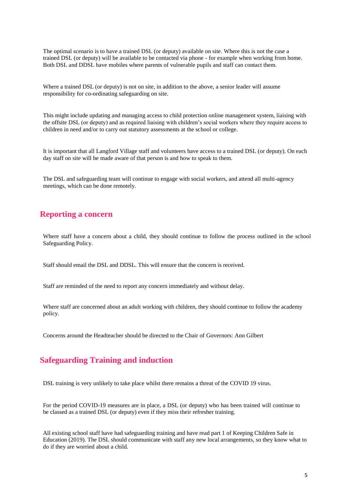The optimal scenario is to have a trained DSL (or deputy) available on site. Where this is not the case a trained DSL (or deputy) will be available to be contacted via phone - for example when working from home. Both DSL and DDSL have mobiles where parents of vulnerable pupils and staff can contact them.

Where a trained DSL (or deputy) is not on site, in addition to the above, a senior leader will assume responsibility for co-ordinating safeguarding on site.

This might include updating and managing access to child protection online management system, liaising with the offsite DSL (or deputy) and as required liaising with children's social workers where they require access to children in need and/or to carry out statutory assessments at the school or college.

It is important that all Langford Village staff and volunteers have access to a trained DSL (or deputy). On each day staff on site will be made aware of that person is and how to speak to them.

The DSL and safeguarding team will continue to engage with social workers, and attend all multi-agency meetings, which can be done remotely.

#### **Reporting a concern**

Where staff have a concern about a child, they should continue to follow the process outlined in the school Safeguarding Policy.

Staff should email the DSL and DDSL. This will ensure that the concern is received.

Staff are reminded of the need to report any concern immediately and without delay.

Where staff are concerned about an adult working with children, they should continue to follow the academy policy.

Concerns around the Headteacher should be directed to the Chair of Governors: Ann Gilbert

#### **Safeguarding Training and induction**

DSL training is very unlikely to take place whilst there remains a threat of the COVID 19 virus.

For the period COVID-19 measures are in place, a DSL (or deputy) who has been trained will continue to be classed as a trained DSL (or deputy) even if they miss their refresher training.

All existing school staff have had safeguarding training and have read part 1 of Keeping Children Safe in Education (2019). The DSL should communicate with staff any new local arrangements, so they know what to do if they are worried about a child.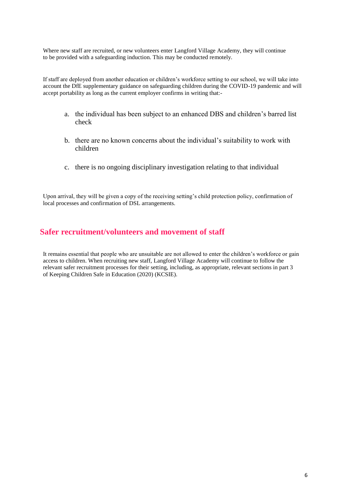Where new staff are recruited, or new volunteers enter Langford Village Academy, they will continue to be provided with a safeguarding induction. This may be conducted remotely.

If staff are deployed from another education or children's workforce setting to our school, we will take into account the DfE supplementary guidance on safeguarding children during the COVID-19 pandemic and will accept portability as long as the current employer confirms in writing that:-

- a. the individual has been subject to an enhanced DBS and children's barred list check
- b. there are no known concerns about the individual's suitability to work with children
- c. there is no ongoing disciplinary investigation relating to that individual

Upon arrival, they will be given a copy of the receiving setting's child protection policy, confirmation of local processes and confirmation of DSL arrangements.

# **Safer recruitment/volunteers and movement of staff**

It remains essential that people who are unsuitable are not allowed to enter the children's workforce or gain access to children. When recruiting new staff, Langford Village Academy will continue to follow the relevant safer recruitment processes for their setting, including, as appropriate, relevant sections in part 3 of Keeping Children Safe in Education (2020) (KCSIE).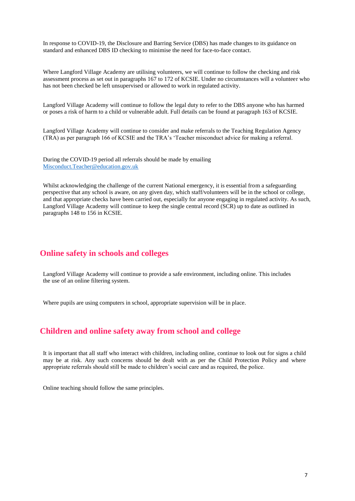In response to COVID-19, the Disclosure and Barring Service (DBS) has made changes to its guidance on standard and enhanced DBS ID checking to minimise the need for face-to-face contact.

Where Langford Village Academy are utilising volunteers, we will continue to follow the checking and risk assessment process as set out in paragraphs 167 to 172 of KCSIE. Under no circumstances will a volunteer who has not been checked be left unsupervised or allowed to work in regulated activity.

Langford Village Academy will continue to follow the legal duty to refer to the DBS anyone who has harmed or poses a risk of harm to a child or vulnerable adult. Full details can be found at paragraph 163 of KCSIE.

Langford Village Academy will continue to consider and make referrals to the Teaching Regulation Agency (TRA) as per paragraph 166 of KCSIE and the TRA's 'Teacher misconduct advice for making a referral.

During the COVID-19 period all referrals should be made by emailing [Misconduct.Teacher@education.gov.uk](mailto:Misconduct.Teacher@education.gov.uk)

Whilst acknowledging the challenge of the current National emergency, it is essential from a safeguarding perspective that any school is aware, on any given day, which staff/volunteers will be in the school or college, and that appropriate checks have been carried out, especially for anyone engaging in regulated activity. As such, Langford Village Academy will continue to keep the single central record (SCR) up to date as outlined in paragraphs 148 to 156 in KCSIE.

#### **Online safety in schools and colleges**

Langford Village Academy will continue to provide a safe environment, including online. This includes the use of an online filtering system.

Where pupils are using computers in school, appropriate supervision will be in place.

#### **Children and online safety away from school and college**

It is important that all staff who interact with children, including online, continue to look out for signs a child may be at risk. Any such concerns should be dealt with as per the Child Protection Policy and where appropriate referrals should still be made to children's social care and as required, the police.

Online teaching should follow the same principles.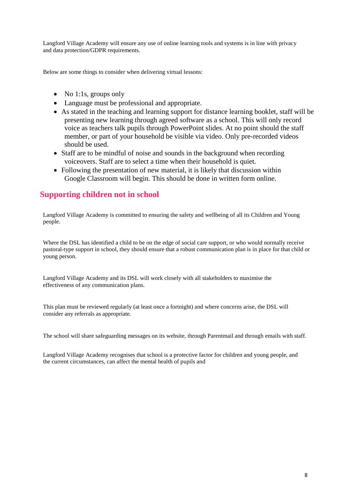Langford Village Academy will ensure any use of online learning tools and systems is in line with privacy and data protection/GDPR requirements.

Below are some things to consider when delivering virtual lessons:

- No 1:1s, groups only
- Language must be professional and appropriate.
- As stated in the teaching and learning support for distance learning booklet, staff will be presenting new learning through agreed software as a school. This will only record voice as teachers talk pupils through PowerPoint slides. At no point should the staff member, or part of your household be visible via video. Only pre-recorded videos should be used.
- Staff are to be mindful of noise and sounds in the background when recording voiceovers. Staff are to select a time when their household is quiet.
- Following the presentation of new material, it is likely that discussion within Google Classroom will begin. This should be done in written form online.

# **Supporting children not in school**

Langford Village Academy is committed to ensuring the safety and wellbeing of all its Children and Young people.

Where the DSL has identified a child to be on the edge of social care support, or who would normally receive pastoral-type support in school, they should ensure that a robust communication plan is in place for that child or young person.

Langford Village Academy and its DSL will work closely with all stakeholders to maximise the effectiveness of any communication plans.

This plan must be reviewed regularly (at least once a fortnight) and where concerns arise, the DSL will consider any referrals as appropriate.

The school will share safeguarding messages on its website, through Parentmail and through emails with staff.

Langford Village Academy recognises that school is a protective factor for children and young people, and the current circumstances, can affect the mental health of pupils and